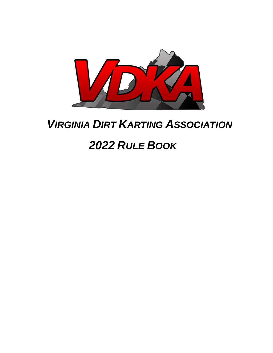

# *VIRGINIA DIRT KARTING ASSOCIATION*

# *2022 RULE BOOK*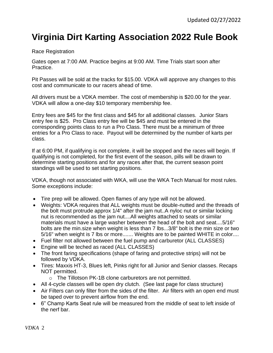#### **Virginia Dirt Karting Association 2022 Rule Book**

#### Race Registration

Gates open at 7:00 AM. Practice begins at 9:00 AM. Time Trials start soon after Practice.

Pit Passes will be sold at the tracks for \$15.00. VDKA will approve any changes to this cost and communicate to our racers ahead of time.

All drivers must be a VDKA member. The cost of membership is \$20.00 for the year. VDKA will allow a one-day \$10 temporary membership fee.

Entry fees are \$45 for the first class and \$45 for all additional classes. Junior Stars entry fee is \$25. Pro Class entry fee will be \$45 and must be entered in the corresponding points class to run a Pro Class. There must be a minimum of three entries for a Pro Class to race. Payout will be determined by the number of karts per class.

If at 6:00 PM, if qualifying is not complete, it will be stopped and the races will begin. If qualifying is not completed, for the first event of the season, pills will be drawn to determine starting positions and for any races after that, the current season point standings will be used to set starting positions.

VDKA, though not associated with WKA, will use the WKA Tech Manual for most rules. Some exceptions include:

- Tire prep will be allowed. Open flames of any type will not be allowed.
- Weights: VDKA requires that ALL weights must be double-nutted and the threads of the bolt must protrude approx 1/4" after the jam nut..A nyloc nut or similar locking nut is recommended as the jam nut....All weights attached to seats or similar materials must have a large washer between the head of the bolt and seat....5/16" bolts are the min.size when weight is less than 7 lbs...3/8" bolt is the min size or two 5/16" when weight is 7 lbs or more....... Weights are to be painted WHITE in color....
- Fuel filter not allowed between the fuel pump and carburetor (ALL CLASSES)
- Engine will be teched as raced (ALL CLASSES)
- The front faring specifications (shape of faring and protective strips) will not be followed by VDKA.
- Tires: Maxxis HT-3, Blues left, Pinks right for all Junior and Senior classes. Recaps NOT permitted.
	- o The Tillotson PK-1B clone carburetors are not permitted.
- All 4-cycle classes will be open dry clutch. (See last page for class structure)
- Air Filters can only filter from the sides of the filter. Air filters with an open end must be taped over to prevent airflow from the end.
- 6" Champ Karts Seat rule will be measured from the middle of seat to left inside of the nerf bar.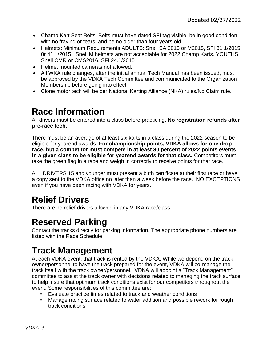- Champ Kart Seat Belts: Belts must have dated SFI tag visible, be in good condition with no fraying or tears, and be no older than four years old.
- Helmets: Minimum Requirements ADULTS: Snell SA 2015 or M2015, SFI 31.1/2015 0r 41.1/2015. Snell M helmets are not acceptable for 2022 Champ Karts. YOUTHS: Snell CMR or CMS2016, SFI 24.1/2015
- Helmet mounted cameras not allowed.
- All WKA rule changes, after the initial annual Tech Manual has been issued, must be approved by the VDKA Tech Committee and communicated to the Organization Membership before going into effect.
- Clone motor tech will be per National Karting Alliance (NKA) rules/No Claim rule.

#### **Race Information**

All drivers must be entered into a class before practicing**. No registration refunds after pre-race tech.** 

There must be an average of at least six karts in a class during the 2022 season to be eligible for yearend awards. **For championship points, VDKA allows for one drop race, but a competitor must compete in at least 80 percent of 2022 points events in a given class to be eligible for yearend awards for that class.** Competitors must take the green flag in a race and weigh in correctly to receive points for that race.

ALL DRIVERS 15 and younger must present a birth certificate at their first race or have a copy sent to the VDKA office no later than a week before the race. NO EXCEPTIONS even if you have been racing with VDKA for years.

#### **Relief Drivers**

There are no relief drivers allowed in any VDKA race/class.

#### **Reserved Parking**

Contact the tracks directly for parking information. The appropriate phone numbers are listed with the Race Schedule.

#### **Track Management**

At each VDKA event, that track is rented by the VDKA. While we depend on the track owner/personnel to have the track prepared for the event, VDKA will co-manage the track itself with the track owner/personnel. VDKA will appoint a "Track Management" committee to assist the track owner with decisions related to managing the track surface to help insure that optimum track conditions exist for our competitors throughout the event. Some responsibilities of this committee are:

- Evaluate practice times related to track and weather conditions
- Manage racing surface related to water addition and possible rework for rough track conditions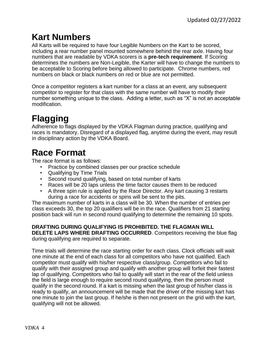#### **Kart Numbers**

All Karts will be required to have four Legible Numbers on the Kart to be scored, including a rear number panel mounted somewhere behind the rear axle. Having four numbers that are readable by VDKA scorers is a **pre-tech requirement**. If Scoring determines the numbers are Non-Legible, the Karter will have to change the numbers to be acceptable to Scoring before being allowed to participate. Chrome numbers, red numbers on black or black numbers on red or blue are not permitted.

Once a competitor registers a kart number for a class at an event, any subsequent competitor to register for that class with the same number will have to modify their number something unique to the class. Adding a letter, such as "X" is not an acceptable modification.

## **Flagging**

Adherence to flags displayed by the VDKA Flagman during practice, qualifying and races is mandatory. Disregard of a displayed flag, anytime during the event, may result in disciplinary action by the VDKA Board.

### **Race Format**

The race format is as follows:

- Practice by combined classes per our practice schedule
- Qualifying by Time Trials
- Second round qualifying, based on total number of karts
- Races will be 20 laps unless the time factor causes them to be reduced
- A three spin rule is applied by the Race Director. Any kart causing 3 restarts during a race for accidents or spins will be sent to the pits.

The maximum number of karts in a class will be 30. When the number of entries per class exceeds 30, the top 20 qualifiers will be in the race. Qualifiers from 21 starting position back will run in second round qualifying to determine the remaining 10 spots.

#### **DRAFTING DURING QUALIFYING IS PROHIBITED. THE FLAGMAN WILL**

**DELETE LAPS WHERE DRAFTING OCCURRED.** Competitors receiving the blue flag during qualifying are required to separate.

Time trials will determine the race starting order for each class. Clock officials will wait one minute at the end of each class for all competitors who have not qualified. Each competitor must qualify with his/her respective class/group. Competitors who fail to qualify with their assigned group and qualify with another group will forfeit their fastest lap of qualifying. Competitors who fail to qualify will start in the rear of the field unless the field is large enough to require second round qualifying, then the person must qualify in the second round. If a kart is missing when the last group of his/her class is ready to qualify, an announcement will be made that the driver of the missing kart has one minute to join the last group. If he/she is then not present on the grid with the kart, qualifying will not be allowed.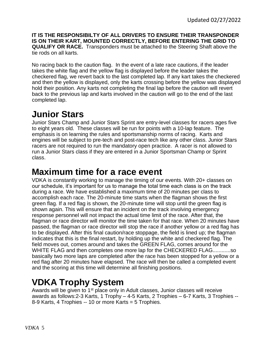**IT IS THE RESPONSIBILTY OF ALL DRIVERS TO ENSURE THEIR TRANSPONDER IS ON THEIR KART, MOUNTED CORRECTLY, BEFORE ENTERING THE GRID TO QUALIFY OR RACE.** Transponders must be attached to the Steering Shaft above the tie rods on all karts.

No racing back to the caution flag. In the event of a late race cautions, if the leader takes the white flag and the yellow flag is displayed before the leader takes the checkered flag, we revert back to the last completed lap. If any kart takes the checkered and then the yellow is displayed, only the karts crossing before the yellow was displayed hold their position. Any karts not completing the final lap before the caution will revert back to the previous lap and karts involved in the caution will go to the end of the last completed lap.

#### **Junior Stars**

Junior Stars Champ and Junior Stars Sprint are entry-level classes for racers ages five to eight years old. These classes will be run for points with a 10-lap feature. The emphasis is on learning the rules and sportsmanship norms of racing. Karts and engines will be subject to pre-tech and post-race tech like any other class. Junior Stars racers are not required to run the mandatory open practice. A racer is not allowed to run a Junior Stars class if they are entered in a Junior Sportsman Champ or Sprint class.

#### **Maximum time for a race event**

VDKA is constantly working to manage the timing of our events. With 20+ classes on our schedule, it's important for us to manage the total time each class is on the track during a race. We have established a maximum time of 20 minutes per class to accomplish each race. The 20-minute time starts when the flagman shows the first green flag. If a red flag is shown, the 20-minute time will stop until the green flag is shown again. This will ensure that an incident on the track involving emergency response personnel will not impact the actual time limit of the race. After that, the flagman or race director will monitor the time taken for that race. When 20 minutes have passed, the flagman or race director will stop the race if another yellow or a red flag has to be displayed. After this final caution/race stoppage, the field is lined up; the flagman indicates that this is the final restart, by holding up the white and checkered flag. The field moves out, comes around and takes the GREEN FLAG, comes around for the WHITE FLAG and then completes one more lap for the CHECKERED FLAG............so basically two more laps are completed after the race has been stopped for a yellow or a red flag after 20 minutes have elapsed. The race will then be called a completed event and the scoring at this time will determine all finishing positions.

### **VDKA Trophy System**

Awards will be given to 1<sup>st</sup> place only in Adult classes, Junior classes will receive awards as follows:2-3 Karts, 1 Trophy – 4-5 Karts, 2 Trophies – 6-7 Karts, 3 Trophies -- 8-9 Karts, 4 Trophies -- 10 or more Karts = 5 Trophies.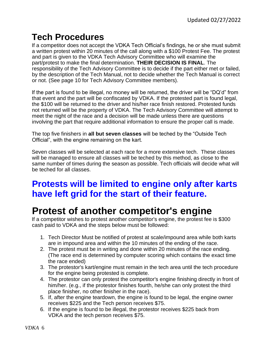#### **Tech Procedures**

If a competitor does not accept the VDKA Tech Official's findings, he or she must submit a written protest within 20 minutes of the call along with a \$100 Protest Fee. The protest and part is given to the VDKA Tech Advisory Committee who will examine the part/protest to make the final determination. **THEIR DECISION IS FINAL**. The responsibility of the Tech Advisory Committee is to decide if the part either met or failed, by the description of the Tech Manual, not to decide whether the Tech Manual is correct or not. (See page 10 for Tech Advisory Committee members).

If the part is found to be illegal, no money will be returned, the driver will be "DQ'd" from that event and the part will be confiscated by VDKA. If the protested part is found legal, the \$100 will be returned to the driver and his/her race finish restored. Protested funds not returned will be the property of VDKA. The Tech Advisory Committee will attempt to meet the night of the race and a decision will be made unless there are questions involving the part that require additional information to ensure the proper call is made.

The top five finishers in **all but seven classes** will be teched by the "Outside Tech Official", with the engine remaining on the kart.

Seven classes will be selected at each race for a more extensive tech. These classes will be managed to ensure all classes will be teched by this method, as close to the same number of times during the season as possible. Tech officials will decide what will be teched for all classes.

#### **Protests will be limited to engine only after karts have left grid for the start of their feature.**

## **Protest of another competitor's engine**

If a competitor wishes to protest another competitor's engine, the protest fee is \$300 cash paid to VDKA and the steps below must be followed:

- 1. Tech Director Must be notified of protest at scale/impound area while both karts are in impound area and within the 10 minutes of the ending of the race.
- 2. The protest must be in writing and done within 20 minutes of the race ending. (The race end is determined by computer scoring which contains the exact time the race ended)
- 3. The protestor's kart/engine must remain in the tech area until the tech procedure for the engine being protested is complete.
- 4. The protestor can only protest the competitor's engine finishing directly in front of him/her. (e.g., if the protestor finishes fourth, he/she can only protest the third place finisher, no other finisher in the race).
- 5. If, after the engine teardown, the engine is found to be legal, the engine owner receives \$225 and the Tech person receives \$75.
- 6. If the engine is found to be illegal, the protestor receives \$225 back from VDKA and the tech person receives \$75.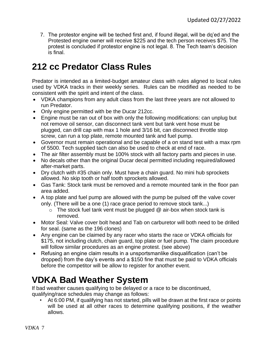7. The protestor engine will be teched first and, if found illegal, will be dq'ed and the Protested engine owner will receive \$225 and the tech person receives \$75. The protest is concluded if protestor engine is not legal. 8. The Tech team's decision is final.

#### **212 cc Predator Class Rules**

Predator is intended as a limited-budget amateur class with rules aligned to local rules used by VDKA tracks in their weekly series. Rules can be modified as needed to be consistent with the spirit and intent of the class.

- VDKA champions from any adult class from the last three years are not allowed to run Predator.
- Only engine permitted with be the Ducar 212cc.
- Engine must be ran out of box with only the following modifications: can unplug but not remove oil sensor, can disconnect tank vent but tank vent hose must be plugged, can drill cap with max 1 hole and 3/16 bit, can disconnect throttle stop screw, can run a top plate, remote mounted tank and fuel pump.
- Governor must remain operational and be capable of a on stand test with a max rpm of 5500. Tech supplied tach can also be used to check at end of race.
- The air filter assembly must be 100% stock with all factory parts and pieces in use.
- No decals other than the original Ducar decal permitted including required/allowed after-market parts.
- Dry clutch with #35 chain only. Must have a chain guard. No mini hub sprockets allowed. No skip tooth or half tooth sprockets allowed.
- Gas Tank: Stock tank must be removed and a remote mounted tank in the floor pan area added.
- A top plate and fuel pump are allowed with the pump be pulsed off the valve cover only. (There will be a one (1) race grace period to remove stock tank...)
	- $\circ$  The stock fuel tank vent must be plugged  $\mathcal Q$  air-box when stock tank is removed.
- Motor Seal: Valve cover bolt head and Tab on carburetor will both need to be drilled for seal. (same as the 196 clones)
- Any engine can be claimed by any racer who starts the race or VDKA officials for \$175, not including clutch, chain guard, top plate or fuel pump. The claim procedure will follow similar procedures as an engine protest. (see above)
- Refusing an engine claim results in a unsportsmanlike disqualification (can't be dropped) from the day's events and a \$150 fine that must be paid to VDKA officials before the competitor will be allow to register for another event.

#### **VDKA Bad Weather System**

If bad weather causes qualifying to be delayed or a race to be discontinued, qualifying/race schedules may change as follows:

• At 6:00 PM, if qualifying has not started, pills will be drawn at the first race or points will be used at all other races to determine qualifying positions, if the weather allows.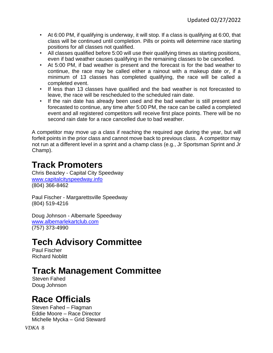- At 6:00 PM, if qualifying is underway, it will stop. If a class is qualifying at 6:00, that class will be continued until completion. Pills or points will determine race starting positions for all classes not qualified.
- All classes qualified before 5:00 will use their qualifying times as starting positions, even if bad weather causes qualifying in the remaining classes to be cancelled.
- At 5:00 PM, if bad weather is present and the forecast is for the bad weather to continue, the race may be called either a rainout with a makeup date or, if a minimum of 13 classes has completed qualifying, the race will be called a completed event.
- If less than 13 classes have qualified and the bad weather is not forecasted to leave, the race will be rescheduled to the scheduled rain date.
- If the rain date has already been used and the bad weather is still present and forecasted to continue, any time after 5:00 PM, the race can be called a completed event and all registered competitors will receive first place points. There will be no second rain date for a race cancelled due to bad weather.

A competitor may move up a class if reaching the required age during the year, but will forfeit points in the prior class and cannot move back to previous class. A competitor may not run at a different level in a sprint and a champ class (e.g., Jr Sportsman Sprint and Jr Champ).

#### **Track Promoters**

Chris Beazley - Capital City Speedway [www.capitalcityspeedway.info](http://www.capitalcityspeedway.info/) (804) 366-8462

Paul Fischer - Margarettsville Speedway (804) 519-4216

Doug Johnson - Albemarle Speedway [www.albemarlekartclub.com](http://www.albemarlekartclub.com/) (757) 373-4990

#### **Tech Advisory Committee**

Paul Fischer Richard Noblitt

#### **Track Management Committee**

Steven Fahed Doug Johnson

#### **Race Officials**

Steven Fahed – Flagman Eddie Moore – Race Director Michelle Mycka – Grid Steward

*VDKA* 8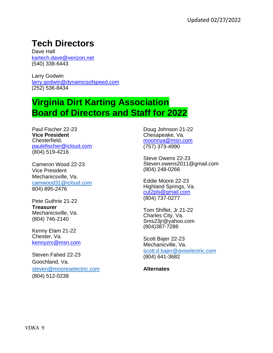### **Tech Directors**

Dave Hall kartech.dave@verizon.net (540) 338-6443

Larry Godwin larry.godwin@dynamicsofspeed.com (252) 536-8434

#### **Virginia Dirt Karting Association Board of Directors and Staff for 2022**

Paul Fischer 22-23 **Vice President**  Chesterfield, paulefischer@icloud.com (804) 519-4216

Cameron Wood 22-23 Vice President Mechanicsville, Va. [camwood31@icloud.com](mailto:camwood31@icloud.com) 804) 895-2476

Pete Guthrie 21-22 **Treasurer**  Mechanicsville, Va. (804) 746-2140

Kenny Elam 21-22 Chester, Va. kennyzrc@msn.com

Steven Fahed 22-23 Goochland, Va. [steven@mooreselectric.com](mailto:steven@mooreselectric.com) (804) 512-0238

Doug Johnson 21-22 Chesapeake, Va. moonnya@msn.com (757) 373-4990

Steve Owens 22-23 Steven.owens2011@gmail.com (804) 248-0266

Eddie Moore 22-23 Highland Springs, Va. cut2pls@gmail.com (804) 737-0277

Tom Shiflet, Jr 21-22 Charles City, Va. Sms23jr@yahoo.com (804)387-7286

Scott Bajer 22-23 Mechanicville, Va. [scott.d.bajer@aviselectric.com](mailto:scott.d.bajer@aviselectric.com) (804) 641-3682

**Alternates**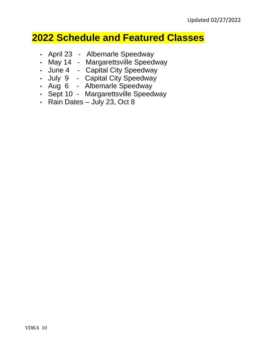#### **2022 Schedule and Featured Classes**

- April 23 Albemarle Speedway
- May 14 Margarettsville Speedway
- June 4 Capital City Speedway
- July 9 Capital City Speedway
- Aug 6 Albemarle Speedway
- Sept 10 Margarettsville Speedway
- $\cdot$  Rain Dates July 23, Oct 8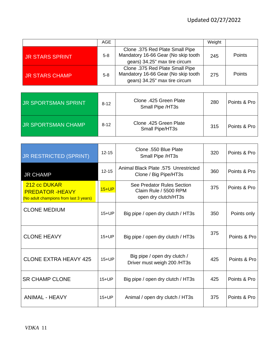|                            | AGE      |                                                                                                         | Weight |              |
|----------------------------|----------|---------------------------------------------------------------------------------------------------------|--------|--------------|
| <b>JR STARS SPRINT</b>     | $5 - 8$  | Clone .375 Red Plate Small Pipe<br>Mandatory 16-66 Gear (No skip tooth<br>gears) 34.25" max tire circum | 245    | Points       |
| <b>JR STARS CHAMP</b>      | $5 - 8$  | Clone .375 Red Plate Small Pipe<br>Mandatory 16-66 Gear (No skip tooth<br>gears) 34.25" max tire circum | 275    | Points       |
|                            |          |                                                                                                         |        |              |
| <b>JR SPORTSMAN SPRINT</b> | $8 - 12$ | Clone .425 Green Plate                                                                                  | 280    | Points & Pro |

| I JR SPORTSMAN SPRINT     | $8-12$ | <b>ONIU . TEU OTUUTT TUU</b><br>Small Pipe /HT3s | zou | Points & Pro 1 |
|---------------------------|--------|--------------------------------------------------|-----|----------------|
| <b>JR SPORTSMAN CHAMP</b> | $8-12$ | Clone .425 Green Plate<br>Small Pipe/HT3s        | 315 | Points & Pro   |

| <b>JR RESTRICTED (SPRINT)</b>                                                    | $12 - 15$ | Clone .550 Blue Plate<br>Small Pipe /HT3s                                   | 320 | Points & Pro |
|----------------------------------------------------------------------------------|-----------|-----------------------------------------------------------------------------|-----|--------------|
| <b>JR CHAMP</b>                                                                  | $12 - 15$ | Animal Black Plate .575 Unrestricted<br>Clone / Big Pipe/HT3s               | 360 | Points & Pro |
| 212 cc DUKAR<br><b>PREDATOR -HEAVY</b><br>(No adult champions from last 3 years) | $15+UP$   | See Predator Rules Section<br>Claim Rule / 5500 RPM<br>open dry clutch/HT3s | 375 | Points & Pro |
| <b>CLONE MEDIUM</b>                                                              | $15+UP$   | Big pipe / open dry clutch / HT3s                                           | 350 | Points only  |
| <b>CLONE HEAVY</b>                                                               | $15+UP$   | Big pipe / open dry clutch / HT3s                                           | 375 | Points & Pro |
| <b>CLONE EXTRA HEAVY 425</b>                                                     | $15+UP$   | Big pipe / open dry clutch /<br>Driver must weigh 200 /HT3s                 | 425 | Points & Pro |
| <b>SR CHAMP CLONE</b>                                                            | $15+UP$   | Big pipe / open dry clutch / HT3s                                           | 425 | Points & Pro |
| <b>ANIMAL - HEAVY</b>                                                            | $15+UP$   | Animal / open dry clutch / HT3s                                             | 375 | Points & Pro |